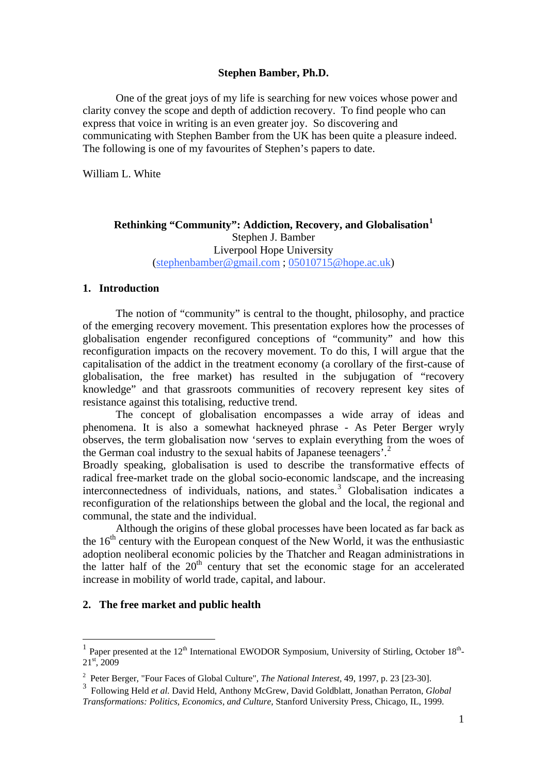## **Stephen Bamber, Ph.D.**

One of the great joys of my life is searching for new voices whose power and clarity convey the scope and depth of addiction recovery. To find people who can express that voice in writing is an even greater joy. So discovering and communicating with Stephen Bamber from the UK has been quite a pleasure indeed. The following is one of my favourites of Stephen's papers to date.

William L. White

# **Rethinking "Community": Addiction, Recovery, and Globalisation[1](#page-0-0)** Stephen J. Bamber Liverpool Hope University ([stephenbamber@gmail.com](mailto:stephenbamber@gmail.com) ; [05010715@hope.ac.uk](mailto:05010715@hope.ac.uk))

# **1. Introduction**

The notion of "community" is central to the thought, philosophy, and practice of the emerging recovery movement. This presentation explores how the processes of globalisation engender reconfigured conceptions of "community" and how this reconfiguration impacts on the recovery movement. To do this, I will argue that the capitalisation of the addict in the treatment economy (a corollary of the first-cause of globalisation, the free market) has resulted in the subjugation of "recovery knowledge" and that grassroots communities of recovery represent key sites of resistance against this totalising, reductive trend.

 The concept of globalisation encompasses a wide array of ideas and phenomena. It is also a somewhat hackneyed phrase - As Peter Berger wryly observes, the term globalisation now 'serves to explain everything from the woes of the German coal industry to the sexual habits of Japanese teenagers'.<sup>[2](#page-0-1)</sup>

Broadly speaking, globalisation is used to describe the transformative effects of radical free-market trade on the global socio-economic landscape, and the increasing interconnectedness of individuals, nations, and states.<sup>[3](#page-0-2)</sup> Globalisation indicates a reconfiguration of the relationships between the global and the local, the regional and communal, the state and the individual.

 Although the origins of these global processes have been located as far back as the  $16<sup>th</sup>$  century with the European conquest of the New World, it was the enthusiastic adoption neoliberal economic policies by the Thatcher and Reagan administrations in the latter half of the  $20<sup>th</sup>$  century that set the economic stage for an accelerated increase in mobility of world trade, capital, and labour.

### **2. The free market and public health**

 $\overline{a}$ 

<span id="page-0-0"></span><sup>&</sup>lt;sup>1</sup> Paper presented at the 12<sup>th</sup> International EWODOR Symposium, University of Stirling, October 18<sup>th</sup>-21st, 2009

<span id="page-0-1"></span><sup>2</sup> Peter Berger, "Four Faces of Global Culture", *The National Interest,* 49, 1997, p. 23 [23-30].

<span id="page-0-2"></span><sup>3</sup> Following Held *et al.* David Held, Anthony McGrew, David Goldblatt, Jonathan Perraton, *Global Transformations: Politics, Economics, and Culture,* Stanford University Press, Chicago, IL, 1999.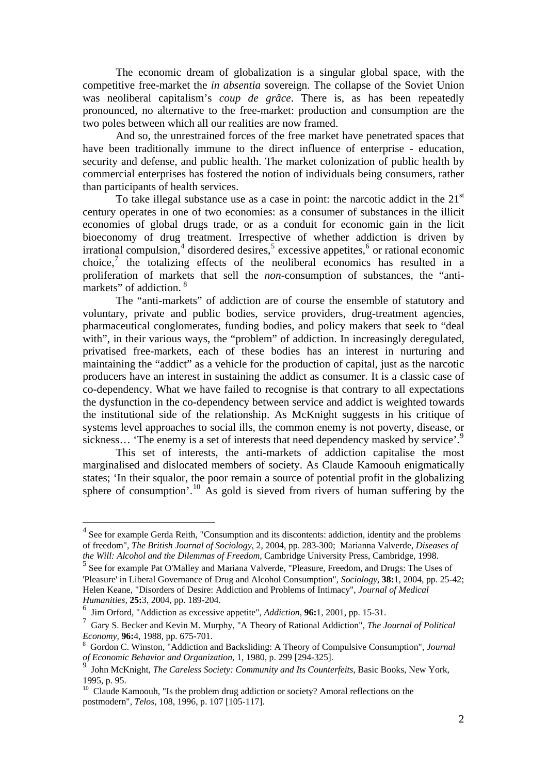The economic dream of globalization is a singular global space, with the competitive free-market the *in absentia* sovereign. The collapse of the Soviet Union was neoliberal capitalism's *coup de grâce*. There is, as has been repeatedly pronounced, no alternative to the free-market: production and consumption are the two poles between which all our realities are now framed.

 And so, the unrestrained forces of the free market have penetrated spaces that have been traditionally immune to the direct influence of enterprise - education, security and defense, and public health. The market colonization of public health by commercial enterprises has fostered the notion of individuals being consumers, rather than participants of health services.

To take illegal substance use as a case in point: the narcotic addict in the  $21<sup>st</sup>$ century operates in one of two economies: as a consumer of substances in the illicit economies of global drugs trade, or as a conduit for economic gain in the licit bioeconomy of drug treatment. Irrespective of whether addiction is driven by irrational compulsion,<sup>[4](#page-1-0)</sup> disordered desires,<sup>[5](#page-1-1)</sup> excessive appetites,<sup>[6](#page-1-2)</sup> or rational economic choice,<sup>[7](#page-1-3)</sup> the totalizing effects of the neoliberal economics has resulted in a proliferation of markets that sell the *non-*consumption of substances, the "antimarkets" of addiction. [8](#page-1-4)

 The "anti-markets" of addiction are of course the ensemble of statutory and voluntary, private and public bodies, service providers, drug-treatment agencies, pharmaceutical conglomerates, funding bodies, and policy makers that seek to "deal with", in their various ways, the "problem" of addiction. In increasingly deregulated, privatised free-markets, each of these bodies has an interest in nurturing and maintaining the "addict" as a vehicle for the production of capital, just as the narcotic producers have an interest in sustaining the addict as consumer. It is a classic case of co-dependency. What we have failed to recognise is that contrary to all expectations the dysfunction in the co-dependency between service and addict is weighted towards the institutional side of the relationship. As McKnight suggests in his critique of systems level approaches to social ills, the common enemy is not poverty, disease, or sickness... 'The enemy is a set of interests that need dependency masked by service'.<sup>[9](#page-1-5)</sup>

 This set of interests, the anti-markets of addiction capitalise the most marginalised and dislocated members of society. As Claude Kamoouh enigmatically states; 'In their squalor, the poor remain a source of potential profit in the globalizing sphere of consumption'.<sup>[10](#page-1-6)</sup> As gold is sieved from rivers of human suffering by the

 $\overline{a}$ 

<span id="page-1-0"></span><sup>&</sup>lt;sup>4</sup> See for example Gerda Reith, "Consumption and its discontents: addiction, identity and the problems of freedom", *The British Journal of Sociology,* 2, 2004, pp. 283-300; Marianna Valverde, *Diseases of the Will: Alcohol and the Dilemmas of Freedom,* Cambridge University Press, Cambridge, 1998.

<span id="page-1-1"></span><sup>5</sup> See for example Pat O'Malley and Mariana Valverde, "Pleasure, Freedom, and Drugs: The Uses of 'Pleasure' in Liberal Governance of Drug and Alcohol Consumption", *Sociology,* **38:**1, 2004, pp. 25-42; Helen Keane, "Disorders of Desire: Addiction and Problems of Intimacy", *Journal of Medical Humanities,* **25:**3, 2004, pp. 189-204.

<span id="page-1-2"></span><sup>6</sup> Jim Orford, "Addiction as excessive appetite", *Addiction,* **96:**1, 2001, pp. 15-31.

<span id="page-1-3"></span><sup>7</sup> Gary S. Becker and Kevin M. Murphy, "A Theory of Rational Addiction", *The Journal of Political Economy*, **96:**4, 1988, pp. 675-701.

<span id="page-1-4"></span>Gordon C. Winston, "Addiction and Backsliding: A Theory of Compulsive Consumption", *Journal of Economic Behavior and Organization,* 1, 1980, p. 299 [294-325].

<span id="page-1-5"></span><sup>9</sup> John McKnight, *The Careless Society: Community and Its Counterfeits,* Basic Books, New York, 1995, p. 95.

<span id="page-1-6"></span> $10$  Claude Kamoouh, "Is the problem drug addiction or society? Amoral reflections on the postmodern", *Telos,* 108, 1996, p. 107 [105-117].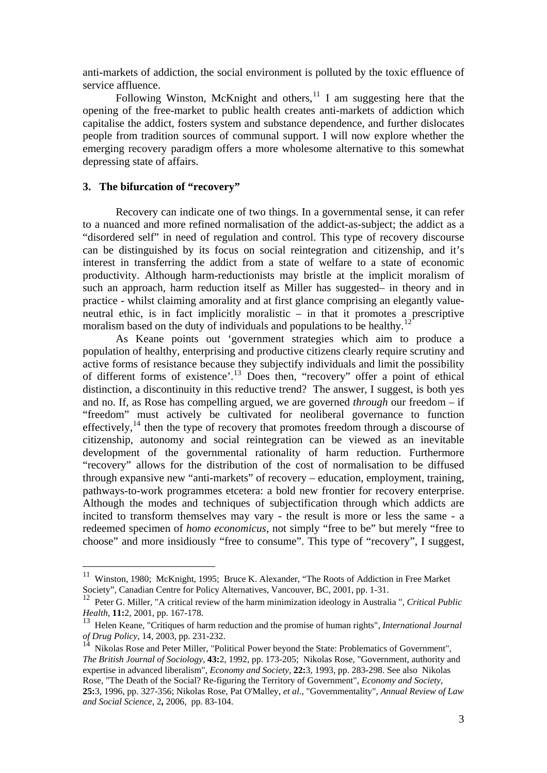anti-markets of addiction, the social environment is polluted by the toxic effluence of service affluence.

Following Winston, McKnight and others, $11$  I am suggesting here that the opening of the free-market to public health creates anti-markets of addiction which capitalise the addict, fosters system and substance dependence, and further dislocates people from tradition sources of communal support. I will now explore whether the emerging recovery paradigm offers a more wholesome alternative to this somewhat depressing state of affairs.

## **3. The bifurcation of "recovery"**

 $\overline{a}$ 

Recovery can indicate one of two things. In a governmental sense, it can refer to a nuanced and more refined normalisation of the addict-as-subject; the addict as a "disordered self" in need of regulation and control. This type of recovery discourse can be distinguished by its focus on social reintegration and citizenship, and it's interest in transferring the addict from a state of welfare to a state of economic productivity. Although harm-reductionists may bristle at the implicit moralism of such an approach, harm reduction itself as Miller has suggested– in theory and in practice - whilst claiming amorality and at first glance comprising an elegantly valueneutral ethic, is in fact implicitly moralistic – in that it promotes a prescriptive moralism based on the duty of individuals and populations to be healthy.<sup>[12](#page-2-1)</sup>

 As Keane points out 'government strategies which aim to produce a population of healthy, enterprising and productive citizens clearly require scrutiny and active forms of resistance because they subjectify individuals and limit the possibility of different forms of existence'.[13](#page-2-2) Does then, "recovery" offer a point of ethical distinction, a discontinuity in this reductive trend? The answer, I suggest, is both yes and no. If, as Rose has compelling argued, we are governed *through* our freedom – if "freedom" must actively be cultivated for neoliberal governance to function effectively, $^{14}$  $^{14}$  $^{14}$  then the type of recovery that promotes freedom through a discourse of citizenship, autonomy and social reintegration can be viewed as an inevitable development of the governmental rationality of harm reduction. Furthermore "recovery" allows for the distribution of the cost of normalisation to be diffused through expansive new "anti-markets" of recovery – education, employment, training, pathways-to-work programmes etcetera: a bold new frontier for recovery enterprise. Although the modes and techniques of subjectification through which addicts are incited to transform themselves may vary - the result is more or less the same - a redeemed specimen of *homo economicus,* not simply "free to be" but merely "free to choose" and more insidiously "free to consume". This type of "recovery", I suggest,

<span id="page-2-0"></span><sup>&</sup>lt;sup>11</sup> Winston, 1980; McKnight, 1995; Bruce K. Alexander, "The Roots of Addiction in Free Market Society"*,* Canadian Centre for Policy Alternatives, Vancouver, BC, 2001, pp. 1-31.

<span id="page-2-1"></span><sup>12</sup> Peter G. Miller, "A critical review of the harm minimization ideology in Australia ", *Critical Public Health,* **11:**2, 2001, pp. 167-178.

<span id="page-2-2"></span><sup>13</sup> Helen Keane, "Critiques of harm reduction and the promise of human rights", *International Journal of Drug Policy,* 14, 2003, pp. 231-232.<br><sup>14</sup> Y.

<span id="page-2-3"></span><sup>14</sup> Nikolas Rose and Peter Miller, "Political Power beyond the State: Problematics of Government", *The British Journal of Sociology,* **43:**2, 1992, pp. 173-205; Nikolas Rose, "Government, authority and expertise in advanced liberalism", *Economy and Society,* **22:**3, 1993, pp. 283-298. See also Nikolas Rose, "The Death of the Social? Re-figuring the Territory of Government", *Economy and Society,*  **25:**3, 1996, pp. 327-356; Nikolas Rose, Pat O'Malley, *et al.*, "Governmentality", *Annual Review of Law and Social Science,* 2**,** 2006, pp. 83-104.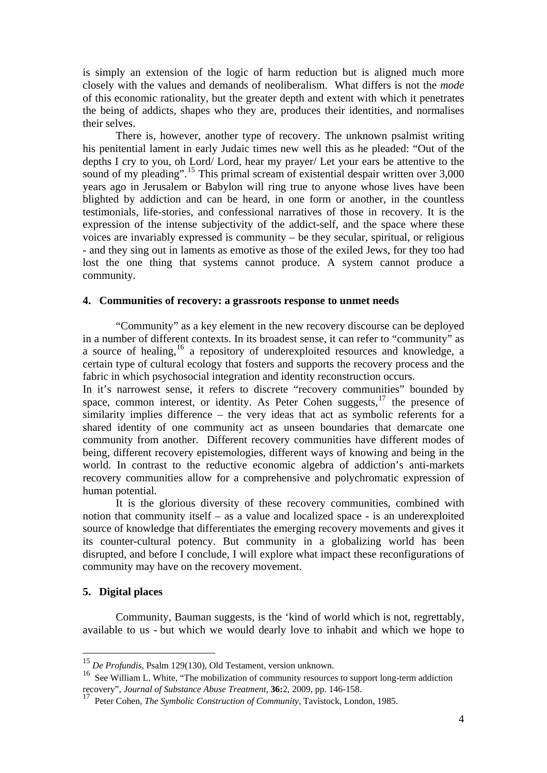is simply an extension of the logic of harm reduction but is aligned much more closely with the values and demands of neoliberalism. What differs is not the *mode* of this economic rationality, but the greater depth and extent with which it penetrates the being of addicts, shapes who they are, produces their identities, and normalises their selves.

 There is, however, another type of recovery. The unknown psalmist writing his penitential lament in early Judaic times new well this as he pleaded: "Out of the depths I cry to you, oh Lord/ Lord, hear my prayer/ Let your ears be attentive to the sound of my pleading".<sup>[15](#page-3-0)</sup> This primal scream of existential despair written over 3,000 years ago in Jerusalem or Babylon will ring true to anyone whose lives have been blighted by addiction and can be heard, in one form or another, in the countless testimonials, life-stories, and confessional narratives of those in recovery. It is the expression of the intense subjectivity of the addict-self, and the space where these voices are invariably expressed is community – be they secular, spiritual, or religious - and they sing out in laments as emotive as those of the exiled Jews, for they too had lost the one thing that systems cannot produce. A system cannot produce a community.

#### **4. Communities of recovery: a grassroots response to unmet needs**

 "Community" as a key element in the new recovery discourse can be deployed in a number of different contexts. In its broadest sense, it can refer to "community" as a source of healing,[16](#page-3-1) a repository of underexploited resources and knowledge, a certain type of cultural ecology that fosters and supports the recovery process and the fabric in which psychosocial integration and identity reconstruction occurs.

In it's narrowest sense, it refers to discrete "recovery communities" bounded by space, common interest, or identity. As Peter Cohen suggests, $17$  the presence of similarity implies difference – the very ideas that act as symbolic referents for a shared identity of one community act as unseen boundaries that demarcate one community from another. Different recovery communities have different modes of being, different recovery epistemologies, different ways of knowing and being in the world. In contrast to the reductive economic algebra of addiction's anti-markets recovery communities allow for a comprehensive and polychromatic expression of human potential.

 It is the glorious diversity of these recovery communities, combined with notion that community itself – as a value and localized space - is an underexploited source of knowledge that differentiates the emerging recovery movements and gives it its counter-cultural potency. But community in a globalizing world has been disrupted, and before I conclude, I will explore what impact these reconfigurations of community may have on the recovery movement.

### **5. Digital places**

 $\overline{a}$ 

Community, Bauman suggests, is the 'kind of world which is not, regrettably, available to us - but which we would dearly love to inhabit and which we hope to

<sup>15</sup> *De Profundis*, Psalm 129(130), Old Testament, version unknown.

<span id="page-3-1"></span><span id="page-3-0"></span><sup>16</sup> See William L. White, "The mobilization of community resources to support long-term addiction recovery", *Journal of Substance Abuse Treatment,* **36:**2, 2009, pp. 146-158.

<span id="page-3-2"></span><sup>17</sup> Peter Cohen, *The Symbolic Construction of Community,* Tavistock, London, 1985.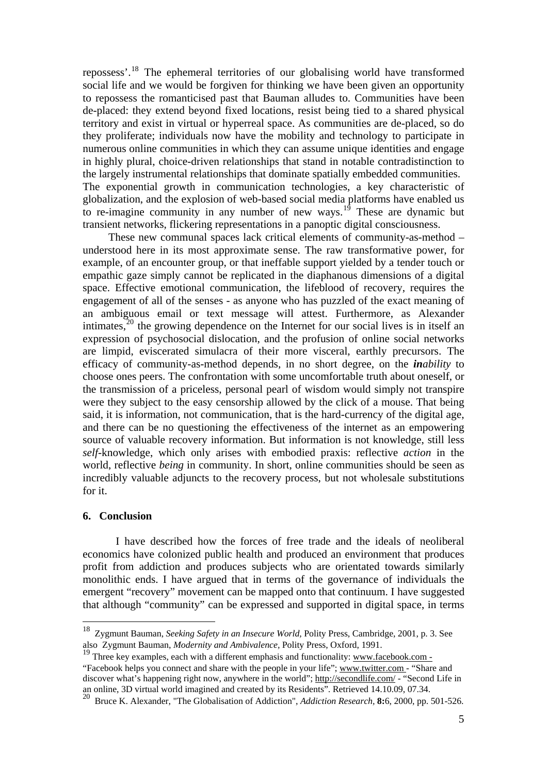repossess'.[18](#page-4-0) The ephemeral territories of our globalising world have transformed social life and we would be forgiven for thinking we have been given an opportunity to repossess the romanticised past that Bauman alludes to. Communities have been de-placed: they extend beyond fixed locations, resist being tied to a shared physical territory and exist in virtual or hyperreal space. As communities are de-placed, so do they proliferate; individuals now have the mobility and technology to participate in numerous online communities in which they can assume unique identities and engage in highly plural, choice-driven relationships that stand in notable contradistinction to the largely instrumental relationships that dominate spatially embedded communities. The exponential growth in communication technologies, a key characteristic of globalization, and the explosion of web-based social media platforms have enabled us to re-imagine community in any number of new ways.<sup>[19](#page-4-1)</sup> These are dynamic but transient networks, flickering representations in a panoptic digital consciousness.

 These new communal spaces lack critical elements of community-as-method – understood here in its most approximate sense. The raw transformative power, for example, of an encounter group, or that ineffable support yielded by a tender touch or empathic gaze simply cannot be replicated in the diaphanous dimensions of a digital space. Effective emotional communication, the lifeblood of recovery, requires the engagement of all of the senses - as anyone who has puzzled of the exact meaning of an ambiguous email or text message will attest. Furthermore, as Alexander intimates, $2^{20}$  $2^{20}$  $2^{20}$  the growing dependence on the Internet for our social lives is in itself an expression of psychosocial dislocation, and the profusion of online social networks are limpid, eviscerated simulacra of their more visceral, earthly precursors. The efficacy of community-as-method depends, in no short degree, on the *inability* to choose ones peers. The confrontation with some uncomfortable truth about oneself, or the transmission of a priceless, personal pearl of wisdom would simply not transpire were they subject to the easy censorship allowed by the click of a mouse. That being said, it is information, not communication, that is the hard-currency of the digital age, and there can be no questioning the effectiveness of the internet as an empowering source of valuable recovery information. But information is not knowledge, still less *self*-knowledge, which only arises with embodied praxis: reflective *action* in the world, reflective *being* in community. In short, online communities should be seen as incredibly valuable adjuncts to the recovery process, but not wholesale substitutions for it.

#### **6. Conclusion**

 $\overline{a}$ 

I have described how the forces of free trade and the ideals of neoliberal economics have colonized public health and produced an environment that produces profit from addiction and produces subjects who are orientated towards similarly monolithic ends. I have argued that in terms of the governance of individuals the emergent "recovery" movement can be mapped onto that continuum. I have suggested that although "community" can be expressed and supported in digital space, in terms

<span id="page-4-0"></span><sup>18</sup> Zygmunt Bauman, *Seeking Safety in an Insecure World,* Polity Press, Cambridge, 2001, p. 3. See also Zygmunt Bauman, *Modernity and Ambivalence,* Polity Press, Oxford, 1991.

<span id="page-4-1"></span><sup>&</sup>lt;sup>19</sup> Three key examples, each with a different emphasis and functionality: [www.facebook.com](http://www.facebook.com/) -"Facebook helps you connect and share with the people in your life"; [www.twitter.com](http://www.twitter.com/) - "Share and discover what's happening right now, anywhere in the world"; <http://secondlife.com/> - "Second Life in an online, 3D virtual world imagined and created by its Residents". Retrieved 14.10.09, 07.34.

<span id="page-4-2"></span><sup>20</sup> Bruce K. Alexander, "The Globalisation of Addiction", *Addiction Research,* **8:**6, 2000, pp. 501-526.